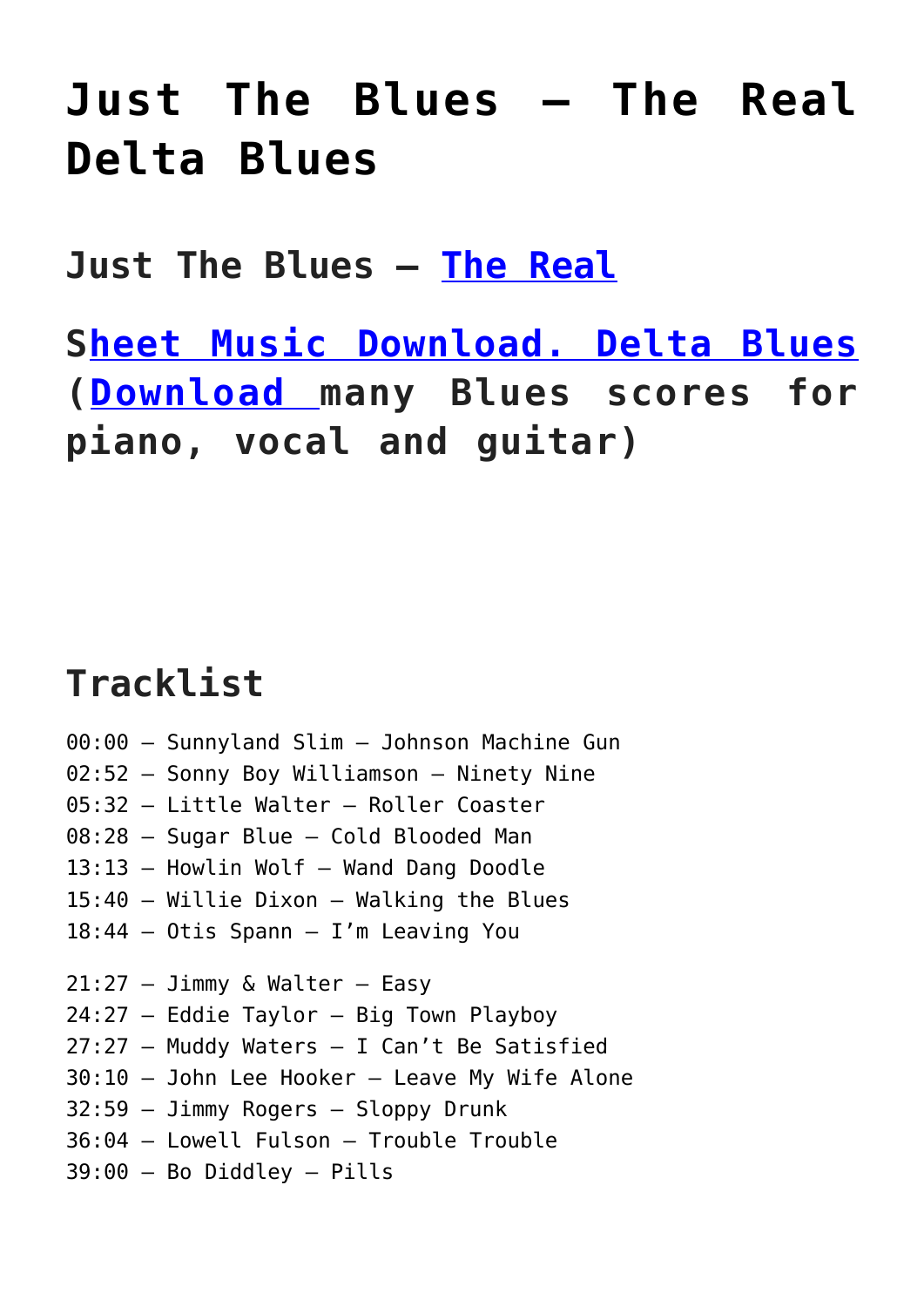## **[Just The Blues – The Real](https://sheetmusiclibrary.website/2022/03/08/real-delta-blues/) [Delta Blues](https://sheetmusiclibrary.website/2022/03/08/real-delta-blues/)**

**Just The Blues – [The Real](https://www.dailymotion.com/video/x2bkeiq)**

**S[heet Music Download.](https://sheetmusiclibrary.website/) [Delta Blues](https://www.dailymotion.com/video/x2bkeiq) ([Download](https://sheetmusiclibrary.website/jazz-soul-boogie-gospel-blues-piano-sheet-music-pdf/) many Blues scores for piano, vocal and guitar)**

## **Tracklist**

00:00 – Sunnyland Slim – Johnson Machine Gun 02:52 – Sonny Boy Williamson – Ninety Nine 05:32 – Little Walter – Roller Coaster 08:28 – Sugar Blue – Cold Blooded Man 13:13 – Howlin Wolf – Wand Dang Doodle 15:40 – Willie Dixon – Walking the Blues 18:44 – Otis Spann – I'm Leaving You  $21:27 - J\text{immy}$  & Walter - Easy 24:27 – Eddie Taylor – Big Town Playboy 27:27 – Muddy Waters – I Can't Be Satisfied 30:10 – John Lee Hooker – Leave My Wife Alone 32:59 – Jimmy Rogers – Sloppy Drunk 36:04 – Lowell Fulson – Trouble Trouble 39:00 – Bo Diddley – Pills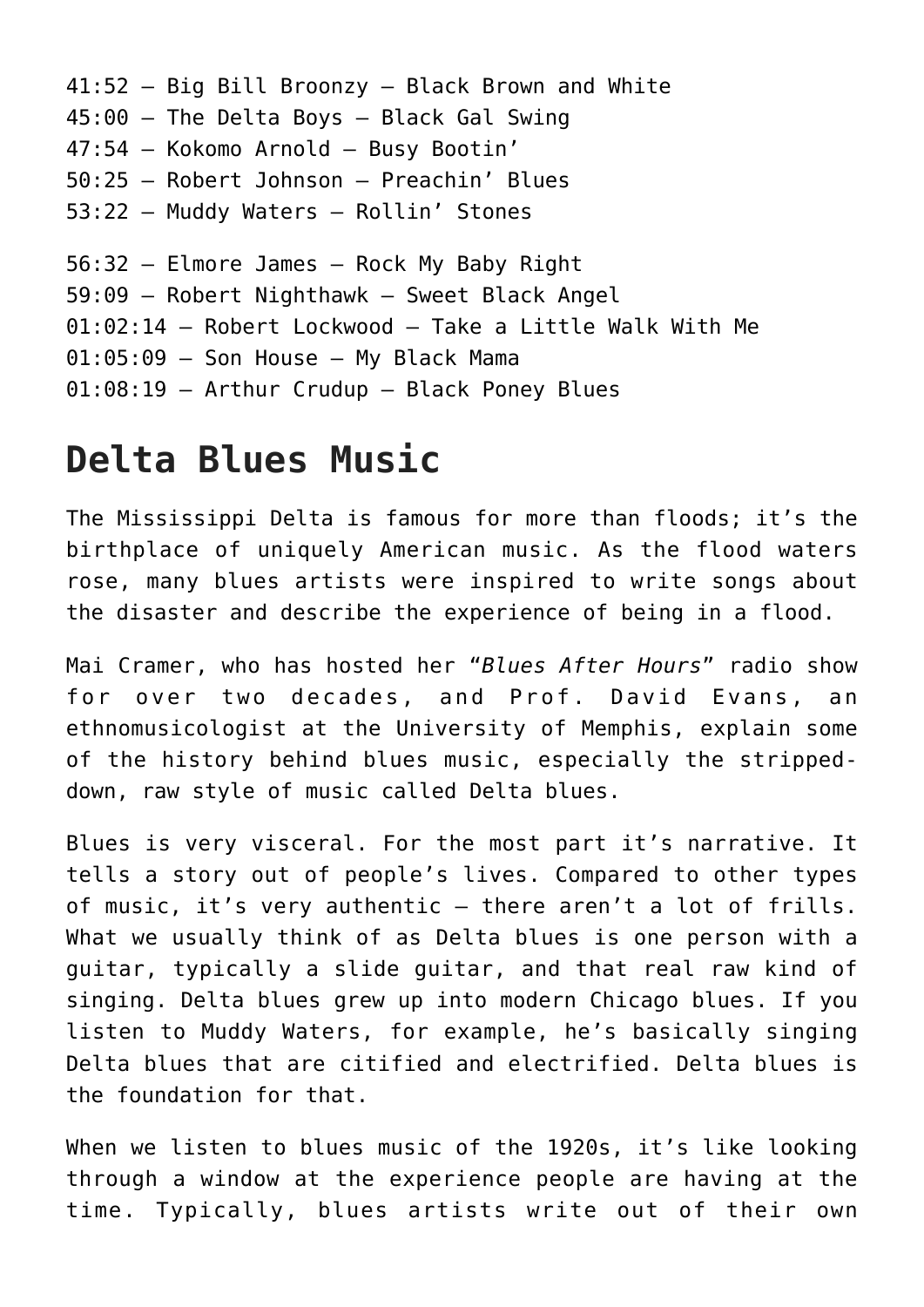```
41:52 – Big Bill Broonzy – Black Brown and White
45:00 – The Delta Boys – Black Gal Swing
47:54 – Kokomo Arnold – Busy Bootin'
50:25 – Robert Johnson – Preachin' Blues
53:22 – Muddy Waters – Rollin' Stones
56:32 – Elmore James – Rock My Baby Right
59:09 – Robert Nighthawk – Sweet Black Angel
01:02:14 – Robert Lockwood – Take a Little Walk With Me
01:05:09 - Son House - My Black Mama
01:08:19 – Arthur Crudup – Black Poney Blues
```
## **Delta Blues Music**

The Mississippi Delta is famous for more than floods; it's the birthplace of uniquely American music. As the flood waters rose, many blues artists were inspired to write songs about the disaster and describe the experience of being in a flood.

Mai Cramer, who has hosted her "*Blues After Hours*" radio show for over two decades, and Prof. David Evans, an ethnomusicologist at the University of Memphis, explain some of the history behind blues music, especially the strippeddown, raw style of music called Delta blues.

Blues is very visceral. For the most part it's narrative. It tells a story out of people's lives. Compared to other types of music, it's very authentic — there aren't a lot of frills. What we usually think of as Delta blues is one person with a guitar, typically a slide guitar, and that real raw kind of singing. Delta blues grew up into modern Chicago blues. If you listen to Muddy Waters, for example, he's basically singing Delta blues that are citified and electrified. Delta blues is the foundation for that.

When we listen to blues music of the 1920s, it's like looking through a window at the experience people are having at the time. Typically, blues artists write out of their own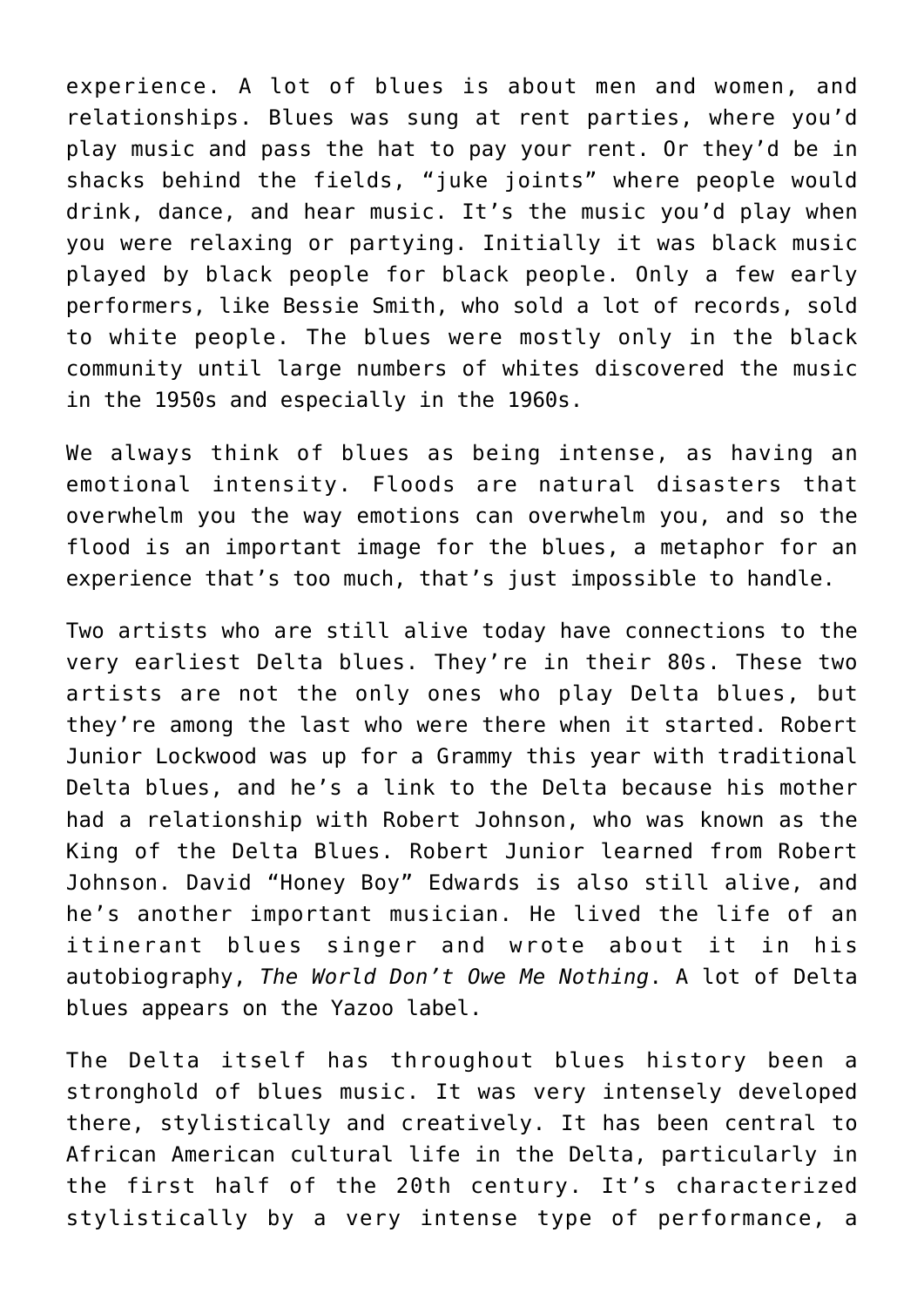experience. A lot of blues is about men and women, and relationships. Blues was sung at rent parties, where you'd play music and pass the hat to pay your rent. Or they'd be in shacks behind the fields, "juke joints" where people would drink, dance, and hear music. It's the music you'd play when you were relaxing or partying. Initially it was black music played by black people for black people. Only a few early performers, like Bessie Smith, who sold a lot of records, sold to white people. The blues were mostly only in the black community until large numbers of whites discovered the music in the 1950s and especially in the 1960s.

We always think of blues as being intense, as having an emotional intensity. Floods are natural disasters that overwhelm you the way emotions can overwhelm you, and so the flood is an important image for the blues, a metaphor for an experience that's too much, that's just impossible to handle.

Two artists who are still alive today have connections to the very earliest Delta blues. They're in their 80s. These two artists are not the only ones who play Delta blues, but they're among the last who were there when it started. Robert Junior Lockwood was up for a Grammy this year with traditional Delta blues, and he's a link to the Delta because his mother had a relationship with Robert Johnson, who was known as the King of the Delta Blues. Robert Junior learned from Robert Johnson. David "Honey Boy" Edwards is also still alive, and he's another important musician. He lived the life of an itinerant blues singer and wrote about it in his autobiography, *The World Don't Owe Me Nothing*. A lot of Delta blues appears on the Yazoo label.

The Delta itself has throughout blues history been a stronghold of blues music. It was very intensely developed there, stylistically and creatively. It has been central to African American cultural life in the Delta, particularly in the first half of the 20th century. It's characterized stylistically by a very intense type of performance, a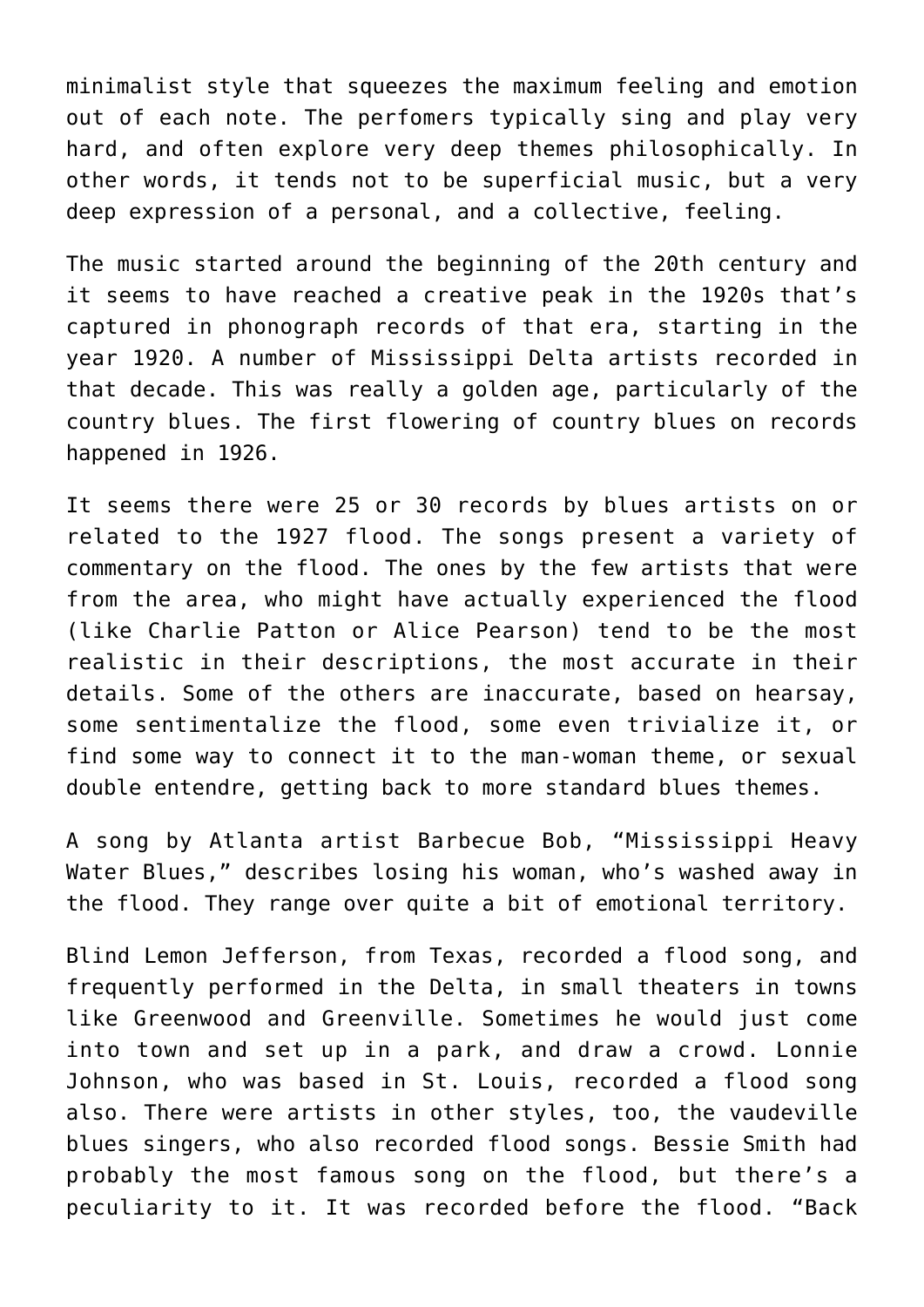minimalist style that squeezes the maximum feeling and emotion out of each note. The perfomers typically sing and play very hard, and often explore very deep themes philosophically. In other words, it tends not to be superficial music, but a very deep expression of a personal, and a collective, feeling.

The music started around the beginning of the 20th century and it seems to have reached a creative peak in the 1920s that's captured in phonograph records of that era, starting in the year 1920. A number of Mississippi Delta artists recorded in that decade. This was really a golden age, particularly of the country blues. The first flowering of country blues on records happened in 1926.

It seems there were 25 or 30 records by blues artists on or related to the 1927 flood. The songs present a variety of commentary on the flood. The ones by the few artists that were from the area, who might have actually experienced the flood (like Charlie Patton or Alice Pearson) tend to be the most realistic in their descriptions, the most accurate in their details. Some of the others are inaccurate, based on hearsay, some sentimentalize the flood, some even trivialize it, or find some way to connect it to the man-woman theme, or sexual double entendre, getting back to more standard blues themes.

A song by Atlanta artist Barbecue Bob, "Mississippi Heavy Water Blues," describes losing his woman, who's washed away in the flood. They range over quite a bit of emotional territory.

Blind Lemon Jefferson, from Texas, recorded a flood song, and frequently performed in the Delta, in small theaters in towns like Greenwood and Greenville. Sometimes he would just come into town and set up in a park, and draw a crowd. Lonnie Johnson, who was based in St. Louis, recorded a flood song also. There were artists in other styles, too, the vaudeville blues singers, who also recorded flood songs. Bessie Smith had probably the most famous song on the flood, but there's a peculiarity to it. It was recorded before the flood. "Back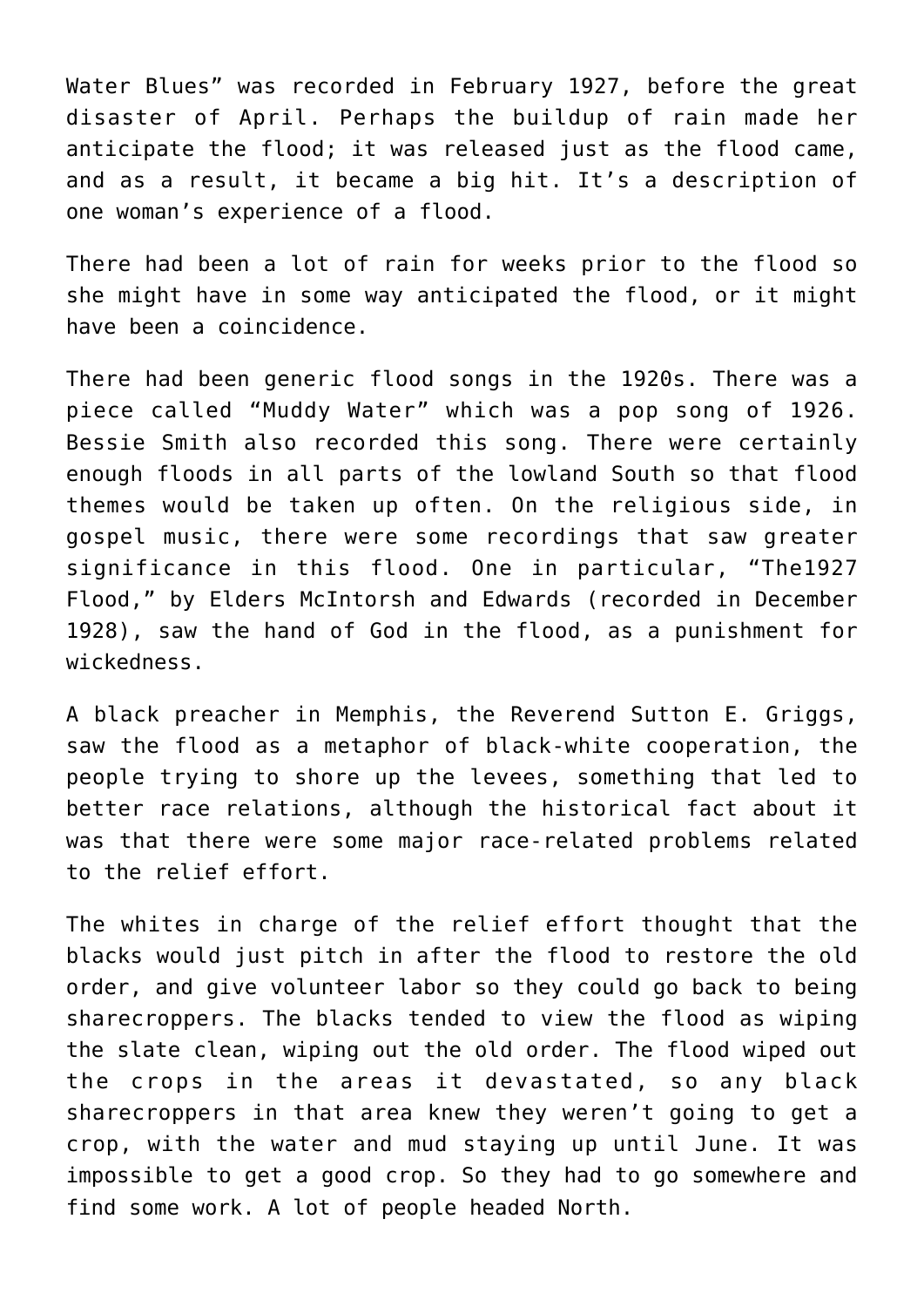Water Blues" was recorded in February 1927, before the great disaster of April. Perhaps the buildup of rain made her anticipate the flood; it was released just as the flood came, and as a result, it became a big hit. It's a description of one woman's experience of a flood.

There had been a lot of rain for weeks prior to the flood so she might have in some way anticipated the flood, or it might have been a coincidence.

There had been generic flood songs in the 1920s. There was a piece called "Muddy Water" which was a pop song of 1926. Bessie Smith also recorded this song. There were certainly enough floods in all parts of the lowland South so that flood themes would be taken up often. On the religious side, in gospel music, there were some recordings that saw greater significance in this flood. One in particular, "The1927 Flood," by Elders McIntorsh and Edwards (recorded in December 1928), saw the hand of God in the flood, as a punishment for wickedness.

A black preacher in Memphis, the Reverend Sutton E. Griggs, saw the flood as a metaphor of black-white cooperation, the people trying to shore up the levees, something that led to better race relations, although the historical fact about it was that there were some major race-related problems related to the relief effort.

The whites in charge of the relief effort thought that the blacks would just pitch in after the flood to restore the old order, and give volunteer labor so they could go back to being sharecroppers. The blacks tended to view the flood as wiping the slate clean, wiping out the old order. The flood wiped out the crops in the areas it devastated, so any black sharecroppers in that area knew they weren't going to get a crop, with the water and mud staying up until June. It was impossible to get a good crop. So they had to go somewhere and find some work. A lot of people headed North.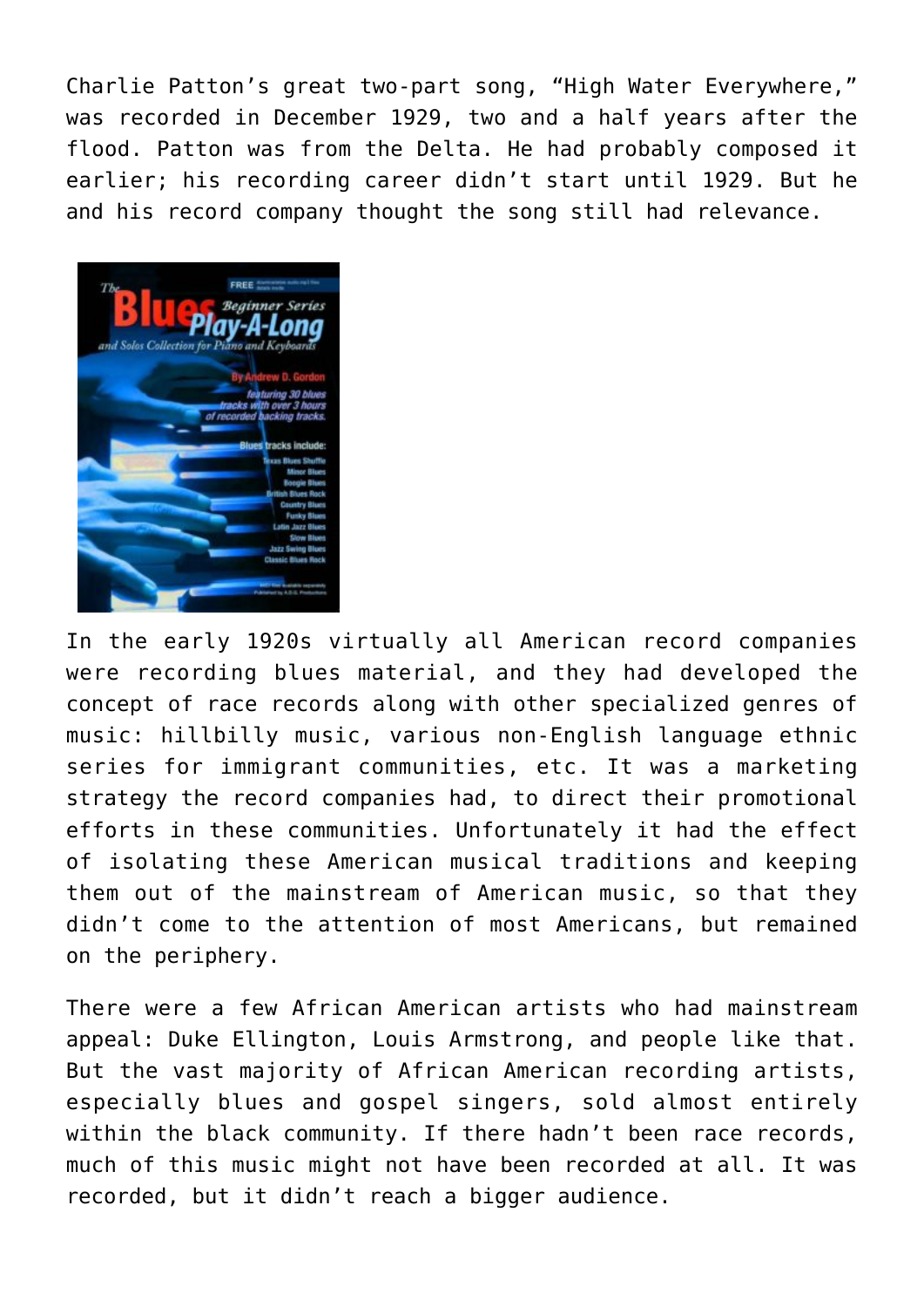Charlie Patton's great two-part song, "High Water Everywhere," was recorded in December 1929, two and a half years after the flood. Patton was from the Delta. He had probably composed it earlier; his recording career didn't start until 1929. But he and his record company thought the song still had relevance.



In the early 1920s virtually all American record companies were recording blues material, and they had developed the concept of race records along with other specialized genres of music: hillbilly music, various non-English language ethnic series for immigrant communities, etc. It was a marketing strategy the record companies had, to direct their promotional efforts in these communities. Unfortunately it had the effect of isolating these American musical traditions and keeping them out of the mainstream of American music, so that they didn't come to the attention of most Americans, but remained on the periphery.

There were a few African American artists who had mainstream appeal: Duke Ellington, Louis Armstrong, and people like that. But the vast majority of African American recording artists, especially blues and gospel singers, sold almost entirely within the black community. If there hadn't been race records, much of this music might not have been recorded at all. It was recorded, but it didn't reach a bigger audience.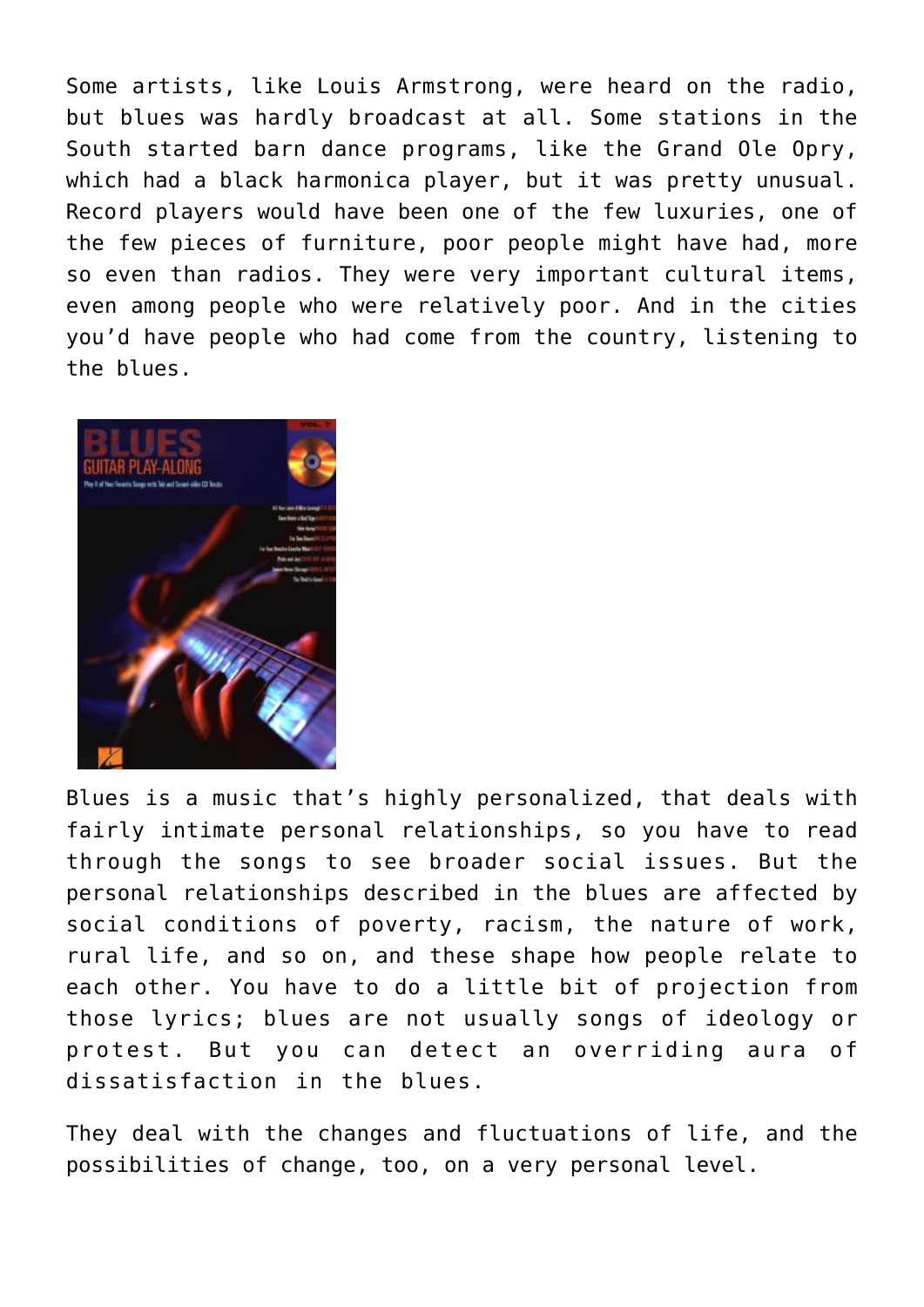Some artists, like Louis Armstrong, were heard on the radio, but blues was hardly broadcast at all. Some stations in the South started barn dance programs, like the Grand Ole Opry, which had a black harmonica player, but it was pretty unusual. Record players would have been one of the few luxuries, one of the few pieces of furniture, poor people might have had, more so even than radios. They were very important cultural items, even among people who were relatively poor. And in the cities you'd have people who had come from the country, listening to the blues.



Blues is a music that's highly personalized, that deals with fairly intimate personal relationships, so you have to read through the songs to see broader social issues. But the personal relationships described in the blues are affected by social conditions of poverty, racism, the nature of work, rural life, and so on, and these shape how people relate to each other. You have to do a little bit of projection from those lyrics; blues are not usually songs of ideology or protest. But you can detect an overriding aura of dissatisfaction in the blues.

They deal with the changes and fluctuations of life, and the possibilities of change, too, on a very personal level.